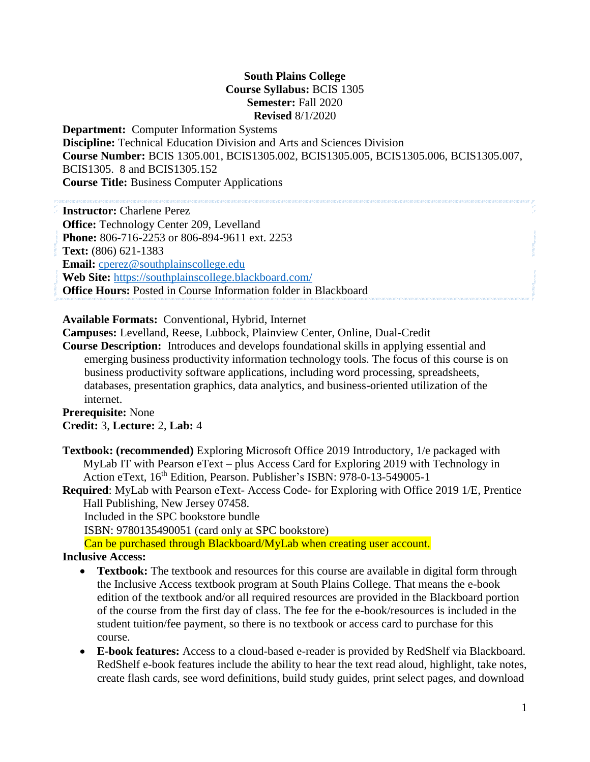### **South Plains College Course Syllabus:** BCIS 1305 **Semester:** Fall 2020 **Revised** 8/1/2020

**Department:** Computer Information Systems **Discipline:** Technical Education Division and Arts and Sciences Division **Course Number:** BCIS 1305.001, BCIS1305.002, BCIS1305.005, BCIS1305.006, BCIS1305.007, BCIS1305. 8 and BCIS1305.152 **Course Title:** Business Computer Applications

**Instructor:** Charlene Perez **Office:** Technology Center 209, Levelland **Phone:** 806-716-2253 or 806-894-9611 ext. 2253 **Text:** (806) 621-1383 **Email:** [cperez@southplainscollege.edu](mailto:cperez@southplainscollege.edu) **Web Site:** <https://southplainscollege.blackboard.com/> **Office Hours: Posted in Course Information folder in Blackboard** 

**Available Formats:** Conventional, Hybrid, Internet

**Campuses:** Levelland, Reese, Lubbock, Plainview Center, Online, Dual-Credit

**Course Description:** Introduces and develops foundational skills in applying essential and emerging business productivity information technology tools. The focus of this course is on business productivity software applications, including word processing, spreadsheets, databases, presentation graphics, data analytics, and business-oriented utilization of the internet.

**Prerequisite:** None **Credit:** 3, **Lecture:** 2, **Lab:** 4

**Textbook: (recommended)** Exploring Microsoft Office 2019 Introductory, 1/e packaged with MyLab IT with Pearson eText – plus Access Card for Exploring 2019 with Technology in Action eText, 16<sup>th</sup> Edition, Pearson. Publisher's ISBN: 978-0-13-549005-1

**Required**: MyLab with Pearson eText- Access Code- for Exploring with Office 2019 1/E, Prentice Hall Publishing, New Jersey 07458.

Included in the SPC bookstore bundle

ISBN: 9780135490051 (card only at SPC bookstore)

Can be purchased through Blackboard/MyLab when creating user account.

#### **Inclusive Access:**

- **Textbook:** The textbook and resources for this course are available in digital form through the Inclusive Access textbook program at South Plains College. That means the e-book edition of the textbook and/or all required resources are provided in the Blackboard portion of the course from the first day of class. The fee for the e-book/resources is included in the student tuition/fee payment, so there is no textbook or access card to purchase for this course.
- **E-book features:** Access to a cloud-based e-reader is provided by RedShelf via Blackboard. RedShelf e-book features include the ability to hear the text read aloud, highlight, take notes, create flash cards, see word definitions, build study guides, print select pages, and download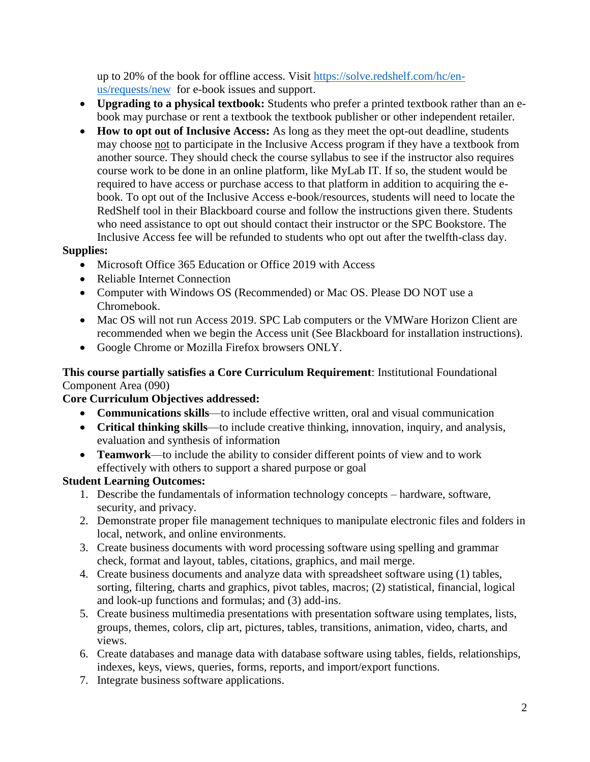up to 20% of the book for offline access. Visit [https://solve.redshelf.com/hc/en](https://solve.redshelf.com/hc/en-us/requests/new)[us/requests/new](https://solve.redshelf.com/hc/en-us/requests/new) for e-book issues and support.

- **Upgrading to a physical textbook:** Students who prefer a printed textbook rather than an ebook may purchase or rent a textbook the textbook publisher or other independent retailer.
- **How to opt out of Inclusive Access:** As long as they meet the opt-out deadline, students may choose not to participate in the Inclusive Access program if they have a textbook from another source. They should check the course syllabus to see if the instructor also requires course work to be done in an online platform, like MyLab IT. If so, the student would be required to have access or purchase access to that platform in addition to acquiring the ebook. To opt out of the Inclusive Access e-book/resources, students will need to locate the RedShelf tool in their Blackboard course and follow the instructions given there. Students who need assistance to opt out should contact their instructor or the SPC Bookstore. The Inclusive Access fee will be refunded to students who opt out after the twelfth-class day.

#### **Supplies:**

- Microsoft Office 365 Education or Office 2019 with Access
- Reliable Internet Connection
- Computer with Windows OS (Recommended) or Mac OS. Please DO NOT use a Chromebook.
- Mac OS will not run Access 2019. SPC Lab computers or the VMWare Horizon Client are recommended when we begin the Access unit (See Blackboard for installation instructions).
- Google Chrome or Mozilla Firefox browsers ONLY.

### **This course partially satisfies a Core Curriculum Requirement**: Institutional Foundational Component Area (090)

## **Core Curriculum Objectives addressed:**

- **Communications skills**—to include effective written, oral and visual communication
- **Critical thinking skills**—to include creative thinking, innovation, inquiry, and analysis, evaluation and synthesis of information
- **Teamwork**—to include the ability to consider different points of view and to work effectively with others to support a shared purpose or goal

# **Student Learning Outcomes:**

- 1. Describe the fundamentals of information technology concepts hardware, software, security, and privacy.
- 2. Demonstrate proper file management techniques to manipulate electronic files and folders in local, network, and online environments.
- 3. Create business documents with word processing software using spelling and grammar check, format and layout, tables, citations, graphics, and mail merge.
- 4. Create business documents and analyze data with spreadsheet software using (1) tables, sorting, filtering, charts and graphics, pivot tables, macros; (2) statistical, financial, logical and look-up functions and formulas; and (3) add-ins.
- 5. Create business multimedia presentations with presentation software using templates, lists, groups, themes, colors, clip art, pictures, tables, transitions, animation, video, charts, and views.
- 6. Create databases and manage data with database software using tables, fields, relationships, indexes, keys, views, queries, forms, reports, and import/export functions.
- 7. Integrate business software applications.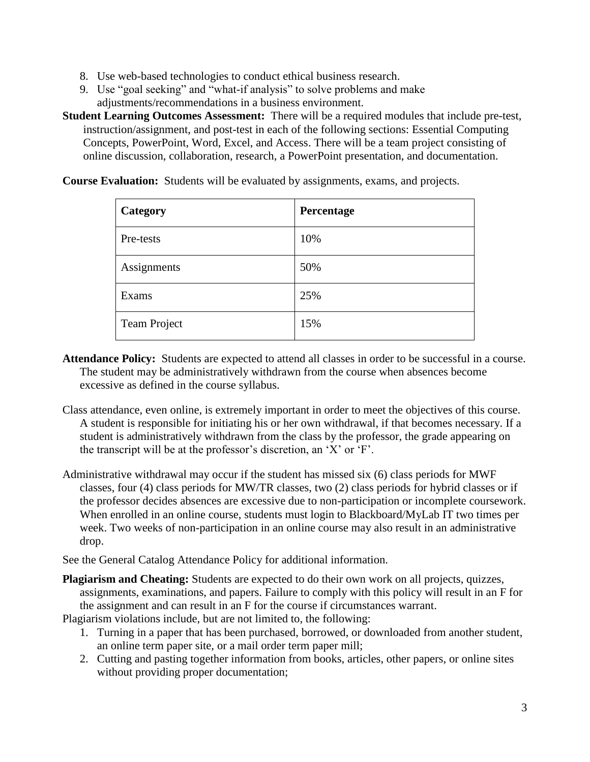- 8. Use web-based technologies to conduct ethical business research.
- 9. Use "goal seeking" and "what-if analysis" to solve problems and make adjustments/recommendations in a business environment.

**Student Learning Outcomes Assessment:** There will be a required modules that include pre-test, instruction/assignment, and post-test in each of the following sections: Essential Computing Concepts, PowerPoint, Word, Excel, and Access. There will be a team project consisting of online discussion, collaboration, research, a PowerPoint presentation, and documentation.

**Course Evaluation:** Students will be evaluated by assignments, exams, and projects.

| Category            | Percentage |
|---------------------|------------|
| Pre-tests           | 10%        |
| Assignments         | 50%        |
| Exams               | 25%        |
| <b>Team Project</b> | 15%        |

- **Attendance Policy:** Students are expected to attend all classes in order to be successful in a course. The student may be administratively withdrawn from the course when absences become excessive as defined in the course syllabus.
- Class attendance, even online, is extremely important in order to meet the objectives of this course. A student is responsible for initiating his or her own withdrawal, if that becomes necessary. If a student is administratively withdrawn from the class by the professor, the grade appearing on the transcript will be at the professor's discretion, an 'X' or 'F'.
- Administrative withdrawal may occur if the student has missed six (6) class periods for MWF classes, four (4) class periods for MW/TR classes, two (2) class periods for hybrid classes or if the professor decides absences are excessive due to non-participation or incomplete coursework. When enrolled in an online course, students must login to Blackboard/MyLab IT two times per week. Two weeks of non-participation in an online course may also result in an administrative drop.

See the General Catalog Attendance Policy for additional information.

**Plagiarism and Cheating:** Students are expected to do their own work on all projects, quizzes, assignments, examinations, and papers. Failure to comply with this policy will result in an F for the assignment and can result in an F for the course if circumstances warrant.

Plagiarism violations include, but are not limited to, the following:

- 1. Turning in a paper that has been purchased, borrowed, or downloaded from another student, an online term paper site, or a mail order term paper mill;
- 2. Cutting and pasting together information from books, articles, other papers, or online sites without providing proper documentation;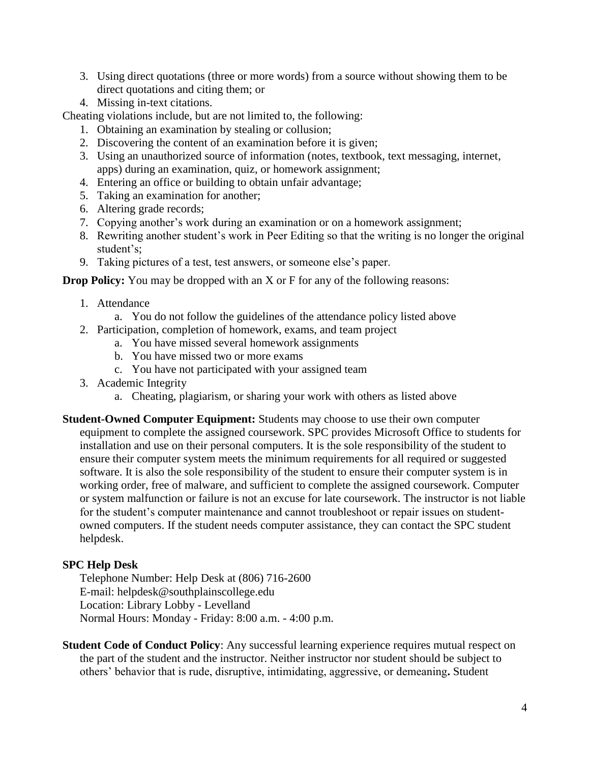- 3. Using direct quotations (three or more words) from a source without showing them to be direct quotations and citing them; or
- 4. Missing in-text citations.

Cheating violations include, but are not limited to, the following:

- 1. Obtaining an examination by stealing or collusion;
- 2. Discovering the content of an examination before it is given;
- 3. Using an unauthorized source of information (notes, textbook, text messaging, internet, apps) during an examination, quiz, or homework assignment;
- 4. Entering an office or building to obtain unfair advantage;
- 5. Taking an examination for another;
- 6. Altering grade records;
- 7. Copying another's work during an examination or on a homework assignment;
- 8. Rewriting another student's work in Peer Editing so that the writing is no longer the original student's;
- 9. Taking pictures of a test, test answers, or someone else's paper.

**Drop Policy:** You may be dropped with an X or F for any of the following reasons:

- 1. Attendance
	- a. You do not follow the guidelines of the attendance policy listed above
- 2. Participation, completion of homework, exams, and team project
	- a. You have missed several homework assignments
	- b. You have missed two or more exams
	- c. You have not participated with your assigned team
- 3. Academic Integrity
	- a. Cheating, plagiarism, or sharing your work with others as listed above
- **Student-Owned Computer Equipment:** Students may choose to use their own computer equipment to complete the assigned coursework. SPC provides Microsoft Office to students for installation and use on their personal computers. It is the sole responsibility of the student to ensure their computer system meets the minimum requirements for all required or suggested software. It is also the sole responsibility of the student to ensure their computer system is in working order, free of malware, and sufficient to complete the assigned coursework. Computer or system malfunction or failure is not an excuse for late coursework. The instructor is not liable for the student's computer maintenance and cannot troubleshoot or repair issues on studentowned computers. If the student needs computer assistance, they can contact the SPC student helpdesk.

#### **SPC Help Desk**

Telephone Number: Help Desk at (806) 716-2600 E-mail: [helpdesk@southplainscollege.edu](mailto:helpdesk@southplainscollege.edu) Location: Library Lobby - Levelland Normal Hours: Monday - Friday: 8:00 a.m. - 4:00 p.m.

**Student Code of Conduct Policy:** Any successful learning experience requires mutual respect on the part of the student and the instructor. Neither instructor nor student should be subject to others' behavior that is rude, disruptive, intimidating, aggressive, or demeaning**.** Student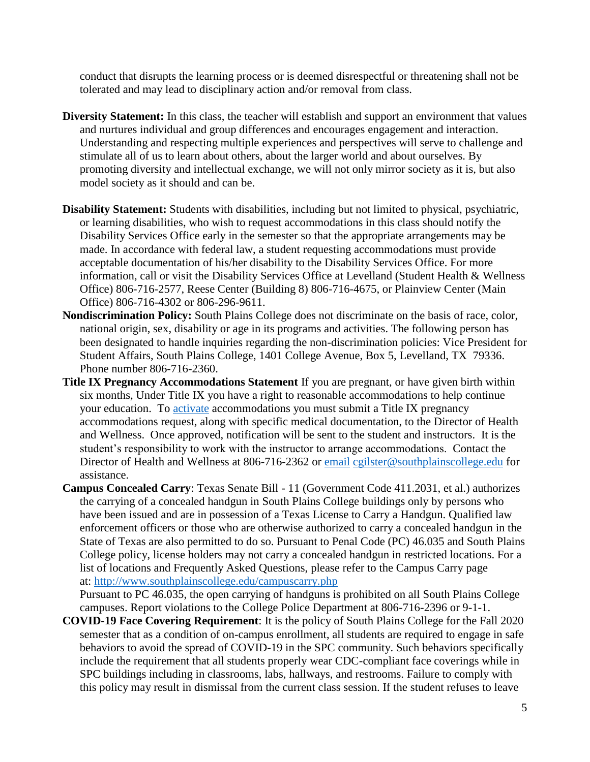conduct that disrupts the learning process or is deemed disrespectful or threatening shall not be tolerated and may lead to disciplinary action and/or removal from class.

- **Diversity Statement:** In this class, the teacher will establish and support an environment that values and nurtures individual and group differences and encourages engagement and interaction. Understanding and respecting multiple experiences and perspectives will serve to challenge and stimulate all of us to learn about others, about the larger world and about ourselves. By promoting diversity and intellectual exchange, we will not only mirror society as it is, but also model society as it should and can be.
- **Disability Statement:** Students with disabilities, including but not limited to physical, psychiatric, or learning disabilities, who wish to request accommodations in this class should notify the Disability Services Office early in the semester so that the appropriate arrangements may be made. In accordance with federal law, a student requesting accommodations must provide acceptable documentation of his/her disability to the Disability Services Office. For more information, call or visit the Disability Services Office at Levelland (Student Health & Wellness Office) 806-716-2577, Reese Center (Building 8) 806-716-4675, or Plainview Center (Main Office) 806-716-4302 or 806-296-9611.
- **Nondiscrimination Policy:** South Plains College does not discriminate on the basis of race, color, national origin, sex, disability or age in its programs and activities. The following person has been designated to handle inquiries regarding the non-discrimination policies: Vice President for Student Affairs, South Plains College, 1401 College Avenue, Box 5, Levelland, TX 79336. Phone number 806-716-2360.
- **Title IX Pregnancy Accommodations Statement** If you are pregnant, or have given birth within six months, Under Title IX you have a right to reasonable accommodations to help continue your education. To [activate](http://www.southplainscollege.edu/employees/manualshandbooks/facultyhandbook/sec4.php) accommodations you must submit a Title IX pregnancy accommodations request, along with specific medical documentation, to the Director of Health and Wellness. Once approved, notification will be sent to the student and instructors. It is the student's responsibility to work with the instructor to arrange accommodations. Contact the Director of Health and Wellness at 806-716-2362 or [email](http://www.southplainscollege.edu/employees/manualshandbooks/facultyhandbook/sec4.php) [cgilster@southplainscollege.edu](mailto:cgilster@southplainscollege.edu) for assistance.
- **Campus Concealed Carry**: Texas Senate Bill 11 (Government Code 411.2031, et al.) authorizes the carrying of a concealed handgun in South Plains College buildings only by persons who have been issued and are in possession of a Texas License to Carry a Handgun. Qualified law enforcement officers or those who are otherwise authorized to carry a concealed handgun in the State of Texas are also permitted to do so. Pursuant to Penal Code (PC) 46.035 and South Plains College policy, license holders may not carry a concealed handgun in restricted locations. For a list of locations and Frequently Asked Questions, please refer to the Campus Carry page at: <http://www.southplainscollege.edu/campuscarry.php>

Pursuant to PC 46.035, the open carrying of handguns is prohibited on all South Plains College campuses. Report violations to the College Police Department at 806-716-2396 or 9-1-1.

**COVID-19 Face Covering Requirement**: It is the policy of South Plains College for the Fall 2020 semester that as a condition of on-campus enrollment, all students are required to engage in safe behaviors to avoid the spread of COVID-19 in the SPC community. Such behaviors specifically include the requirement that all students properly wear CDC-compliant face coverings while in SPC buildings including in classrooms, labs, hallways, and restrooms. Failure to comply with this policy may result in dismissal from the current class session. If the student refuses to leave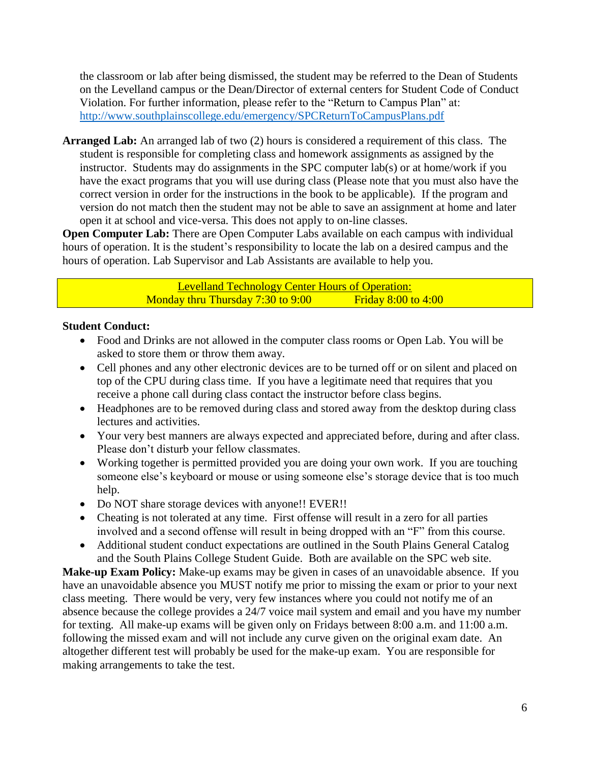the classroom or lab after being dismissed, the student may be referred to the Dean of Students on the Levelland campus or the Dean/Director of external centers for Student Code of Conduct Violation. For further information, please refer to the "Return to Campus Plan" at: <http://www.southplainscollege.edu/emergency/SPCReturnToCampusPlans.pdf>

**Arranged Lab:** An arranged lab of two (2) hours is considered a requirement of this class. The student is responsible for completing class and homework assignments as assigned by the instructor. Students may do assignments in the SPC computer lab(s) or at home/work if you have the exact programs that you will use during class (Please note that you must also have the correct version in order for the instructions in the book to be applicable). If the program and version do not match then the student may not be able to save an assignment at home and later open it at school and vice-versa. This does not apply to on-line classes.

**Open Computer Lab:** There are Open Computer Labs available on each campus with individual hours of operation. It is the student's responsibility to locate the lab on a desired campus and the hours of operation. Lab Supervisor and Lab Assistants are available to help you.

> Levelland Technology Center Hours of Operation: Monday thru Thursday  $7:30$  to  $9:00$  Friday  $8:00$  to  $4:00$

### **Student Conduct:**

- Food and Drinks are not allowed in the computer class rooms or Open Lab. You will be asked to store them or throw them away.
- Cell phones and any other electronic devices are to be turned off or on silent and placed on top of the CPU during class time. If you have a legitimate need that requires that you receive a phone call during class contact the instructor before class begins.
- Headphones are to be removed during class and stored away from the desktop during class lectures and activities.
- Your very best manners are always expected and appreciated before, during and after class. Please don't disturb your fellow classmates.
- Working together is permitted provided you are doing your own work. If you are touching someone else's keyboard or mouse or using someone else's storage device that is too much help.
- Do NOT share storage devices with anyone!! EVER!!
- Cheating is not tolerated at any time. First offense will result in a zero for all parties involved and a second offense will result in being dropped with an "F" from this course.
- Additional student conduct expectations are outlined in the South Plains General Catalog and the South Plains College Student Guide. Both are available on the SPC web site.

**Make-up Exam Policy:** Make-up exams may be given in cases of an unavoidable absence. If you have an unavoidable absence you MUST notify me prior to missing the exam or prior to your next class meeting. There would be very, very few instances where you could not notify me of an absence because the college provides a 24/7 voice mail system and email and you have my number for texting. All make-up exams will be given only on Fridays between 8:00 a.m. and 11:00 a.m. following the missed exam and will not include any curve given on the original exam date. An altogether different test will probably be used for the make-up exam. You are responsible for making arrangements to take the test.